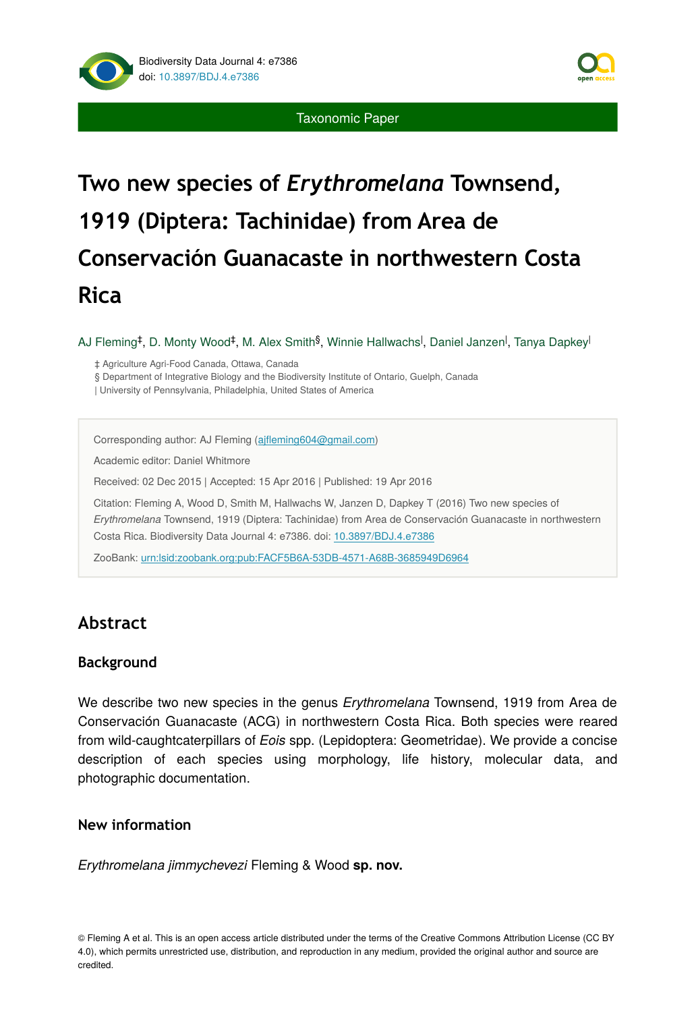

Taxonomic Paper

# **Two new species of** *Erythromelana* **Townsend, 1919 (Diptera: Tachinidae) from Area de Conservación Guanacaste in northwestern Costa Rica**

AJ Fleming‡, D. Monty Wood‡, M. Alex Smith<sup>§</sup>, Winnie Hallwachs<sup>l</sup>, Daniel Janzen<sup>l</sup>, Tanya Dapkey<sup>l</sup>

‡ Agriculture Agri-Food Canada, Ottawa, Canada

§ Department of Integrative Biology and the Biodiversity Institute of Ontario, Guelph, Canada

| University of Pennsylvania, Philadelphia, United States of America

Corresponding author: AJ Fleming (ajfl[eming604@gmail.com](mailto:ajfleming604@gmail.com?subject=Your%20manuscript%20in%20PWT%20#3937/Biodiversity%20Data%20Journal%20#7386))

Academic editor: Daniel Whitmore

Received: 02 Dec 2015 | Accepted: 15 Apr 2016 | Published: 19 Apr 2016

Citation: Fleming A, Wood D, Smith M, Hallwachs W, Janzen D, Dapkey T (2016) Two new species of *Erythromelana* Townsend, 1919 (Diptera: Tachinidae) from Area de Conservación Guanacaste in northwestern Costa Rica. Biodiversity Data Journal 4: e7386. doi: [10.3897/BDJ.4.e7386](http://dx.doi.org/10.3897/BDJ.4.e7386)

ZooBank: [urn:lsid:zoobank.org:pub:FACF5B6A-53DB-4571-A68B-3685949D6964](http://zoobank.org/FACF5B6A-53DB-4571-A68B-3685949D6964)

# **Abstract**

# **Background**

We describe two new species in the genus *Erythromelana* Townsend, 1919 from Area de Conservación Guanacaste (ACG) in northwestern Costa Rica. Both species were reared from wild-caughtcaterpillars of *Eois* spp. (Lepidoptera: Geometridae). We provide a concise description of each species using morphology, life history, molecular data, and photographic documentation.

# **New information**

*Erythromelana jimmychevezi* Fleming & Wood **sp. nov.**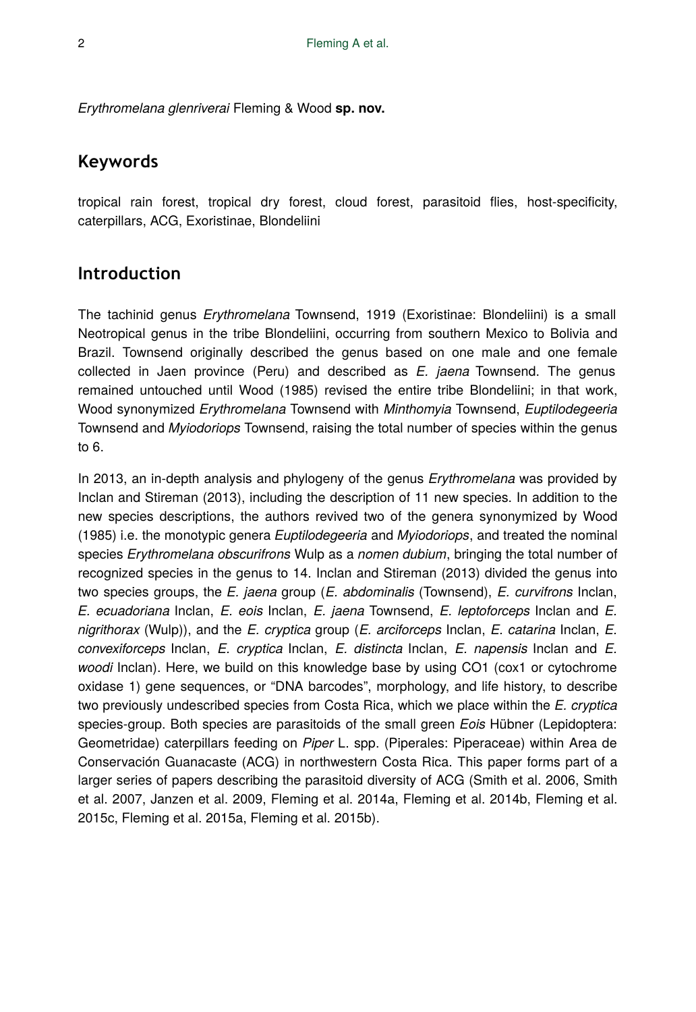*Erythromelana glenriverai* Fleming & Wood **sp. nov.**

# **Keywords**

tropical rain forest, tropical dry forest, cloud forest, parasitoid flies, host-specificity, caterpillars, ACG, Exoristinae, Blondeliini

# **Introduction**

The tachinid genus *Erythromelana* Townsend, 1919 (Exoristinae: Blondeliini) is a small Neotropical genus in the tribe Blondeliini, occurring from southern Mexico to Bolivia and Brazil. Townsend originally described the genus based on one male and one female collected in Jaen province (Peru) and described as *E. jaena* Townsend. The genus remained untouched until Wood (1985) revised the entire tribe Blondeliini; in that work, Wood synonymized *Erythromelana* Townsend with *Minthomyia* Townsend, *Euptilodegeeria* Townsend and *Myiodoriops* Townsend, raising the total number of species within the genus to 6.

In 2013, an in-depth analysis and phylogeny of the genus *Erythromelana* was provided by Inclan and Stireman (2013), including the description of 11 new species. In addition to the new species descriptions, the authors revived two of the genera synonymized by Wood (1985) i.e. the monotypic genera *Euptilodegeeria* and *Myiodoriops*, and treated the nominal species *Erythromelana obscurifrons* Wulp as a *nomen dubium*, bringing the total number of recognized species in the genus to 14. Inclan and Stireman (2013) divided the genus into two species groups, the *E. jaena* group (*E. abdominalis* (Townsend), *E. curvifrons* Inclan, *E. ecuadoriana* Inclan, *E. eois* Inclan, *E. jaena* Townsend, *E. leptoforceps* Inclan and *E. nigrithorax* (Wulp)), and the *E. cryptica* group (*E. arciforceps* Inclan, *E. catarina* Inclan, *E. convexiforceps* Inclan, *E. cryptica* Inclan, *E. distincta* Inclan, *E. napensis* Inclan and *E. woodi* Inclan). Here, we build on this knowledge base by using CO1 (cox1 or cytochrome oxidase 1) gene sequences, or "DNA barcodes", morphology, and life history, to describe two previously undescribed species from Costa Rica, which we place within the *E. cryptica* species-group. Both species are parasitoids of the small green *Eois* Hübner (Lepidoptera: Geometridae) caterpillars feeding on *Piper* L. spp. (Piperales: Piperaceae) within Area de Conservación Guanacaste (ACG) in northwestern Costa Rica. This paper forms part of a larger series of papers describing the parasitoid diversity of ACG (Smith et al. 2006, Smith et al. 2007, Janzen et al. 2009, Fleming et al. 2014a, Fleming et al. 2014b, Fleming et al. 2015c, Fleming et al. 2015a, Fleming et al. 2015b).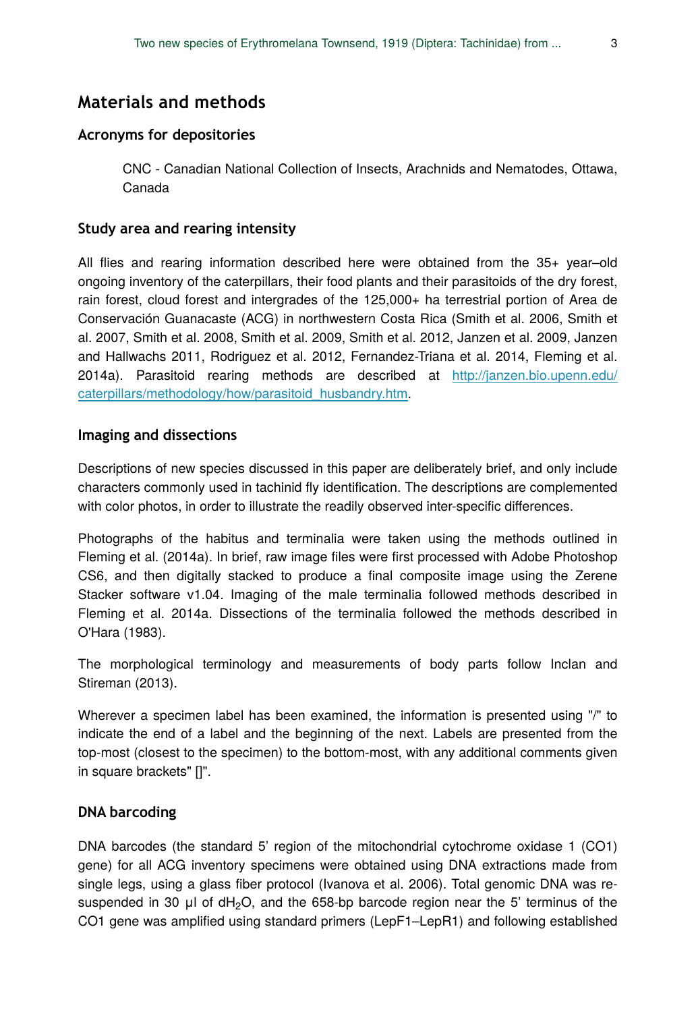# **Materials and methods**

# **Acronyms for depositories**

CNC - Canadian National Collection of Insects, Arachnids and Nematodes, Ottawa, Canada

# **Study area and rearing intensity**

All flies and rearing information described here were obtained from the 35+ year–old ongoing inventory of the caterpillars, their food plants and their parasitoids of the dry forest, rain forest, cloud forest and intergrades of the 125,000+ ha terrestrial portion of Area de Conservación Guanacaste (ACG) in northwestern Costa Rica (Smith et al. 2006, Smith et al. 2007, Smith et al. 2008, Smith et al. 2009, Smith et al. 2012, Janzen et al. 2009, Janzen and Hallwachs 2011, Rodriguez et al. 2012, Fernandez-Triana et al. 2014, Fleming et al. 2014a). Parasitoid rearing methods are described at [http://janzen.bio.upenn.edu/](http://janzen.bio.upenn.edu/caterpillars/methodology/how/parasitoid_husbandry.htm) [caterpillars/methodology/how/parasitoid\\_husbandry.htm](http://janzen.bio.upenn.edu/caterpillars/methodology/how/parasitoid_husbandry.htm).

# **Imaging and dissections**

Descriptions of new species discussed in this paper are deliberately brief, and only include characters commonly used in tachinid fly identification. The descriptions are complemented with color photos, in order to illustrate the readily observed inter-specific differences.

Photographs of the habitus and terminalia were taken using the methods outlined in Fleming et al. (2014a). In brief, raw image files were first processed with Adobe Photoshop CS6, and then digitally stacked to produce a final composite image using the Zerene Stacker software v1.04. Imaging of the male terminalia followed methods described in Fleming et al. 2014a. Dissections of the terminalia followed the methods described in O'Hara (1983).

The morphological terminology and measurements of body parts follow Inclan and Stireman (2013).

Wherever a specimen label has been examined, the information is presented using "/" to indicate the end of a label and the beginning of the next. Labels are presented from the top-most (closest to the specimen) to the bottom-most, with any additional comments given in square brackets" []".

# **DNA barcoding**

DNA barcodes (the standard 5' region of the mitochondrial cytochrome oxidase 1 (CO1) gene) for all ACG inventory specimens were obtained using DNA extractions made from single legs, using a glass fiber protocol (Ivanova et al. 2006). Total genomic DNA was resuspended in 30  $\mu$ l of dH<sub>2</sub>O, and the 658-bp barcode region near the 5' terminus of the CO1 gene was amplified using standard primers (LepF1–LepR1) and following established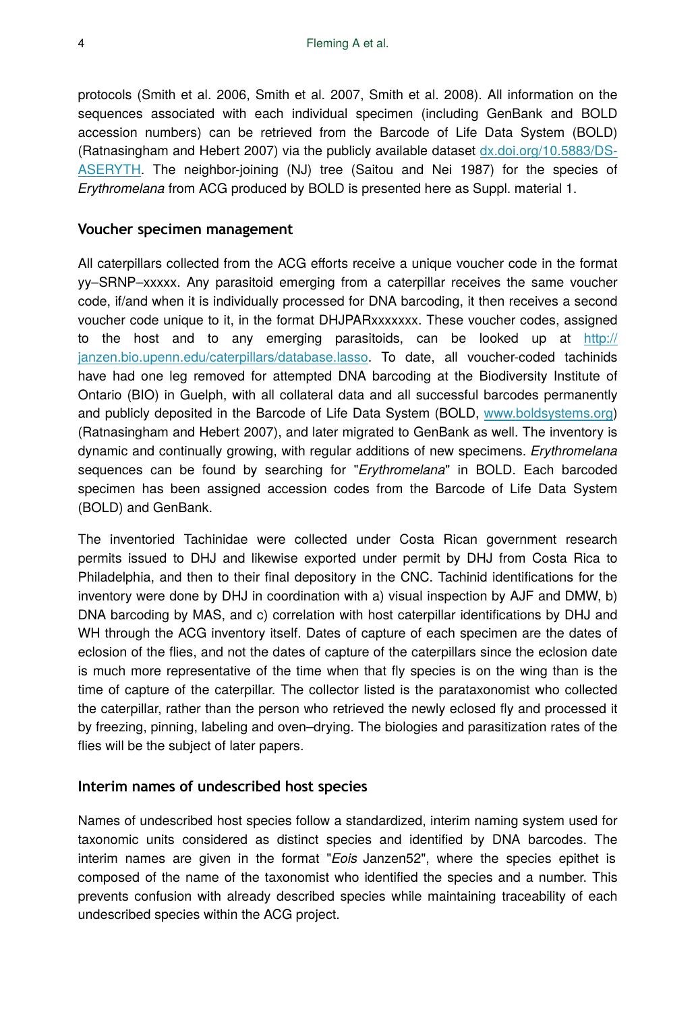protocols (Smith et al. 2006, Smith et al. 2007, Smith et al. 2008). All information on the sequences associated with each individual specimen (including GenBank and BOLD accession numbers) can be retrieved from the Barcode of Life Data System (BOLD) (Ratnasingham and Hebert 2007) via the publicly available dataset [dx.doi.org/10.5883/DS-](http://dx.doi.org/10.5883/DS-ASERYTH)[ASERYTH.](http://dx.doi.org/10.5883/DS-ASERYTH) The neighbor-joining (NJ) tree (Saitou and Nei 1987) for the species of *Erythromelana* from ACG produced by BOLD is presented here as Suppl. material 1.

#### **Voucher specimen management**

All caterpillars collected from the ACG efforts receive a unique voucher code in the format yy–SRNP–xxxxx. Any parasitoid emerging from a caterpillar receives the same voucher code, if/and when it is individually processed for DNA barcoding, it then receives a second voucher code unique to it, in the format DHJPARxxxxxxx. These voucher codes, assigned to the host and to any emerging parasitoids, can be looked up at [http://](http://janzen.bio.upenn.edu/caterpillars/database.lasso) [janzen.bio.upenn.edu/caterpillars/database.lasso.](http://janzen.bio.upenn.edu/caterpillars/database.lasso) To date, all voucher-coded tachinids have had one leg removed for attempted DNA barcoding at the Biodiversity Institute of Ontario (BIO) in Guelph, with all collateral data and all successful barcodes permanently and publicly deposited in the Barcode of Life Data System (BOLD, [www.boldsystems.org](http://www.boldsystems.org)) (Ratnasingham and Hebert 2007), and later migrated to GenBank as well. The inventory is dynamic and continually growing, with regular additions of new specimens. *Erythromelana* sequences can be found by searching for "*Erythromelana*" in BOLD. Each barcoded specimen has been assigned accession codes from the Barcode of Life Data System (BOLD) and GenBank.

The inventoried Tachinidae were collected under Costa Rican government research permits issued to DHJ and likewise exported under permit by DHJ from Costa Rica to Philadelphia, and then to their final depository in the CNC. Tachinid identifications for the inventory were done by DHJ in coordination with a) visual inspection by AJF and DMW, b) DNA barcoding by MAS, and c) correlation with host caterpillar identifications by DHJ and WH through the ACG inventory itself. Dates of capture of each specimen are the dates of eclosion of the flies, and not the dates of capture of the caterpillars since the eclosion date is much more representative of the time when that fly species is on the wing than is the time of capture of the caterpillar. The collector listed is the parataxonomist who collected the caterpillar, rather than the person who retrieved the newly eclosed fly and processed it by freezing, pinning, labeling and oven–drying. The biologies and parasitization rates of the flies will be the subject of later papers.

#### **Interim names of undescribed host species**

Names of undescribed host species follow a standardized, interim naming system used for taxonomic units considered as distinct species and identified by DNA barcodes. The interim names are given in the format "*Eois* Janzen52", where the species epithet is composed of the name of the taxonomist who identified the species and a number. This prevents confusion with already described species while maintaining traceability of each undescribed species within the ACG project.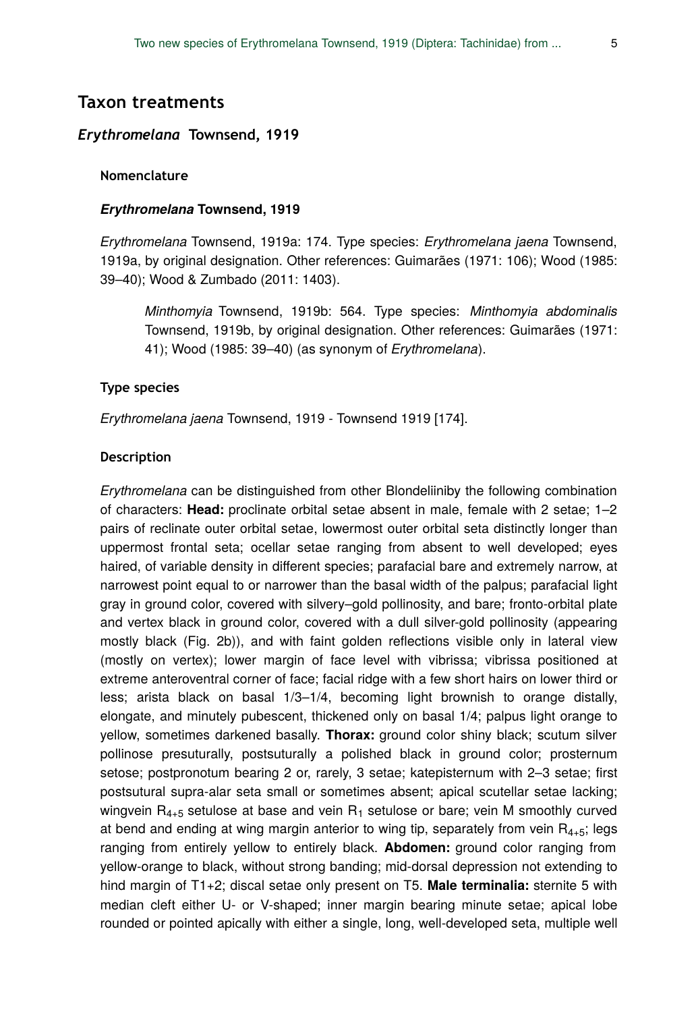# **Taxon treatments**

# *Erythromelana* **Townsend, 1919**

#### **Nomenclature**

#### *Erythromelana* **Townsend, 1919**

*Erythromelana* Townsend, 1919a: 174. Type species: *Erythromelana jaena* Townsend, 1919a, by original designation. Other references: Guimarães (1971: 106); Wood (1985: 39–40); Wood & Zumbado (2011: 1403).

*Minthomyia* Townsend, 1919b: 564. Type species: *Minthomyia abdominalis* Townsend, 1919b, by original designation. Other references: Guimarães (1971: 41); Wood (1985: 39–40) (as synonym of *Erythromelana*).

#### **Type species**

*Erythromelana jaena* Townsend, 1919 - Townsend 1919 [174].

#### **Description**

*Erythromelana* can be distinguished from other Blondeliiniby the following combination of characters: **Head:** proclinate orbital setae absent in male, female with 2 setae; 1–2 pairs of reclinate outer orbital setae, lowermost outer orbital seta distinctly longer than uppermost frontal seta; ocellar setae ranging from absent to well developed; eyes haired, of variable density in different species; parafacial bare and extremely narrow, at narrowest point equal to or narrower than the basal width of the palpus; parafacial light gray in ground color, covered with silvery–gold pollinosity, and bare; fronto-orbital plate and vertex black in ground color, covered with a dull silver-gold pollinosity (appearing mostly black (Fig. 2b)), and with faint golden reflections visible only in lateral view (mostly on vertex); lower margin of face level with vibrissa; vibrissa positioned at extreme anteroventral corner of face; facial ridge with a few short hairs on lower third or less; arista black on basal 1/3–1/4, becoming light brownish to orange distally, elongate, and minutely pubescent, thickened only on basal 1/4; palpus light orange to yellow, sometimes darkened basally. **Thorax:** ground color shiny black; scutum silver pollinose presuturally, postsuturally a polished black in ground color; prosternum setose; postpronotum bearing 2 or, rarely, 3 setae; katepisternum with 2-3 setae; first postsutural supra-alar seta small or sometimes absent; apical scutellar setae lacking; wingvein  $\mathsf{R}_{4+5}$  setulose at base and vein  $\mathsf{R}_1$  setulose or bare; vein M smoothly curved at bend and ending at wing margin anterior to wing tip, separately from vein  $R_{4+5}$ ; legs ranging from entirely yellow to entirely black. **Abdomen:** ground color ranging from yellow-orange to black, without strong banding; mid-dorsal depression not extending to hind margin of T1+2; discal setae only present on T5. **Male terminalia:** sternite 5 with median cleft either U- or V-shaped; inner margin bearing minute setae; apical lobe rounded or pointed apically with either a single, long, well-developed seta, multiple well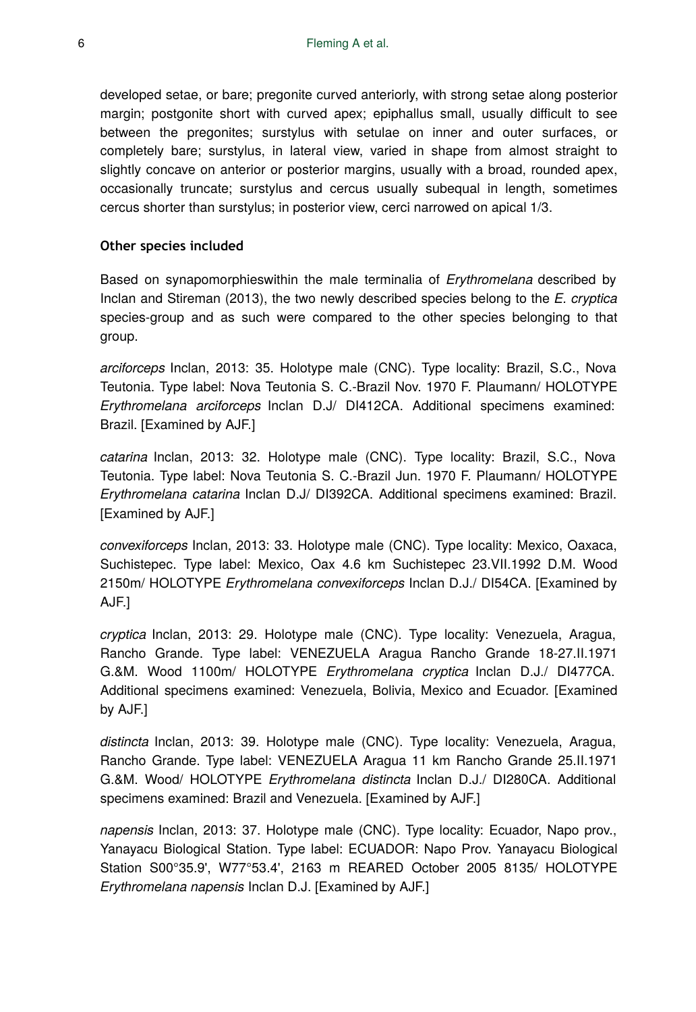developed setae, or bare; pregonite curved anteriorly, with strong setae along posterior margin; postgonite short with curved apex; epiphallus small, usually difficult to see between the pregonites; surstylus with setulae on inner and outer surfaces, or completely bare; surstylus, in lateral view, varied in shape from almost straight to slightly concave on anterior or posterior margins, usually with a broad, rounded apex, occasionally truncate; surstylus and cercus usually subequal in length, sometimes cercus shorter than surstylus; in posterior view, cerci narrowed on apical 1/3.

#### **Other species included**

Based on synapomorphieswithin the male terminalia of *Erythromelana* described by Inclan and Stireman (2013), the two newly described species belong to the *E. cryptica* species-group and as such were compared to the other species belonging to that group.

*arciforceps* Inclan, 2013: 35. Holotype male (CNC). Type locality: Brazil, S.C., Nova Teutonia. Type label: Nova Teutonia S. C.-Brazil Nov. 1970 F. Plaumann/ HOLOTYPE *Erythromelana arciforceps* Inclan D.J/ DI412CA. Additional specimens examined: Brazil. [Examined by AJF.]

*catarina* Inclan, 2013: 32. Holotype male (CNC). Type locality: Brazil, S.C., Nova Teutonia. Type label: Nova Teutonia S. C.-Brazil Jun. 1970 F. Plaumann/ HOLOTYPE *Erythromelana catarina* Inclan D.J/ DI392CA. Additional specimens examined: Brazil. [Examined by AJF.]

*convexiforceps* Inclan, 2013: 33. Holotype male (CNC). Type locality: Mexico, Oaxaca, Suchistepec. Type label: Mexico, Oax 4.6 km Suchistepec 23.VII.1992 D.M. Wood 2150m/ HOLOTYPE *Erythromelana convexiforceps* Inclan D.J./ DI54CA. [Examined by AJF.]

*cryptica* Inclan, 2013: 29. Holotype male (CNC). Type locality: Venezuela, Aragua, Rancho Grande. Type label: VENEZUELA Aragua Rancho Grande 18-27.II.1971 G.&M. Wood 1100m/ HOLOTYPE *Erythromelana cryptica* Inclan D.J./ DI477CA. Additional specimens examined: Venezuela, Bolivia, Mexico and Ecuador. [Examined by AJF.]

*distincta* Inclan, 2013: 39. Holotype male (CNC). Type locality: Venezuela, Aragua, Rancho Grande. Type label: VENEZUELA Aragua 11 km Rancho Grande 25.II.1971 G.&M. Wood/ HOLOTYPE *Erythromelana distincta* Inclan D.J./ DI280CA. Additional specimens examined: Brazil and Venezuela. [Examined by AJF.]

*napensis* Inclan, 2013: 37. Holotype male (CNC). Type locality: Ecuador, Napo prov., Yanayacu Biological Station. Type label: ECUADOR: Napo Prov. Yanayacu Biological Station S00°35.9', W77°53.4', 2163 m REARED October 2005 8135/ HOLOTYPE *Erythromelana napensis* Inclan D.J. [Examined by AJF.]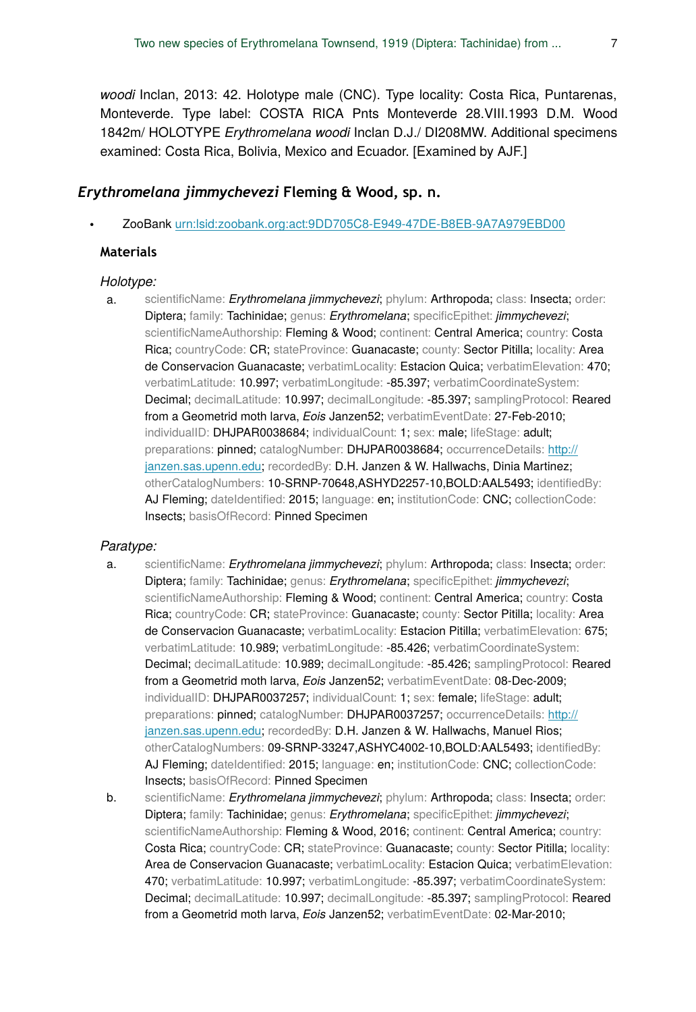*woodi* Inclan, 2013: 42. Holotype male (CNC). Type locality: Costa Rica, Puntarenas, Monteverde. Type label: COSTA RICA Pnts Monteverde 28.VIII.1993 D.M. Wood 1842m/ HOLOTYPE *Erythromelana woodi* Inclan D.J./ DI208MW. Additional specimens examined: Costa Rica, Bolivia, Mexico and Ecuador. [Examined by AJF.]

# *Erythromelana jimmychevezi* **Fleming & Wood, sp. n.**

• ZooBank [urn:lsid:zoobank.org:act:9DD705C8-E949-47DE-B8EB-9A7A979EBD00](http://zoobank.org/9DD705C8-E949-47DE-B8EB-9A7A979EBD00)

### **Materials**

#### *Holotype:*

a. scientificName: *Erythromelana jimmychevezi*; phylum: Arthropoda; class: Insecta; order: Diptera; family: Tachinidae; genus: *Erythromelana*; specificEpithet: *jimmychevezi*; scientificNameAuthorship: Fleming & Wood; continent: Central America; country: Costa Rica; countryCode: CR; stateProvince: Guanacaste; county: Sector Pitilla; locality: Area de Conservacion Guanacaste; verbatimLocality: Estacion Quica; verbatimElevation: 470; verbatimLatitude: 10.997; verbatimLongitude: -85.397; verbatimCoordinateSystem: Decimal; decimalLatitude: 10.997; decimalLongitude: -85.397; samplingProtocol: Reared from a Geometrid moth larva, *Eois* Janzen52; verbatimEventDate: 27-Feb-2010; individualID: DHJPAR0038684; individualCount: 1; sex: male; lifeStage: adult; preparations: pinned; catalogNumber: DHJPAR0038684; occurrenceDetails: [http://](http://janzen.sas.upenn.edu) [janzen.sas.upenn.edu;](http://janzen.sas.upenn.edu) recordedBy: D.H. Janzen & W. Hallwachs, Dinia Martinez; otherCatalogNumbers: 10-SRNP-70648,ASHYD2257-10,BOLD:AAL5493; identifiedBy: AJ Fleming; dateIdentified: 2015; language: en; institutionCode: CNC; collectionCode: Insects; basisOfRecord: Pinned Specimen

#### *Paratype:*

- a. scientificName: *Erythromelana jimmychevezi*; phylum: Arthropoda; class: Insecta; order: Diptera; family: Tachinidae; genus: *Erythromelana*; specificEpithet: *jimmychevezi*; scientificNameAuthorship: Fleming & Wood; continent: Central America; country: Costa Rica; countryCode: CR; stateProvince: Guanacaste; county: Sector Pitilla; locality: Area de Conservacion Guanacaste; verbatimLocality: Estacion Pitilla; verbatimElevation: 675; verbatimLatitude: 10.989; verbatimLongitude: -85.426; verbatimCoordinateSystem: Decimal; decimalLatitude: 10.989; decimalLongitude: -85.426; samplingProtocol: Reared from a Geometrid moth larva, *Eois* Janzen52; verbatimEventDate: 08-Dec-2009; individualID: DHJPAR0037257; individualCount: 1; sex: female; lifeStage: adult; preparations: pinned; catalogNumber: DHJPAR0037257; occurrenceDetails: [http://](http://janzen.sas.upenn.edu) [janzen.sas.upenn.edu;](http://janzen.sas.upenn.edu) recordedBy: D.H. Janzen & W. Hallwachs, Manuel Rios; otherCatalogNumbers: 09-SRNP-33247,ASHYC4002-10,BOLD:AAL5493; identifiedBy: AJ Fleming; dateIdentified: 2015; language: en; institutionCode: CNC; collectionCode: Insects; basisOfRecord: Pinned Specimen
- b. scientificName: *Erythromelana jimmychevezi*; phylum: Arthropoda; class: Insecta; order: Diptera; family: Tachinidae; genus: *Erythromelana*; specificEpithet: *jimmychevezi*; scientificNameAuthorship: Fleming & Wood, 2016; continent: Central America; country: Costa Rica; countryCode: CR; stateProvince: Guanacaste; county: Sector Pitilla; locality: Area de Conservacion Guanacaste; verbatimLocality: Estacion Quica; verbatimElevation: 470; verbatimLatitude: 10.997; verbatimLongitude: -85.397; verbatimCoordinateSystem: Decimal; decimalLatitude: 10.997; decimalLongitude: -85.397; samplingProtocol: Reared from a Geometrid moth larva, *Eois* Janzen52; verbatimEventDate: 02-Mar-2010;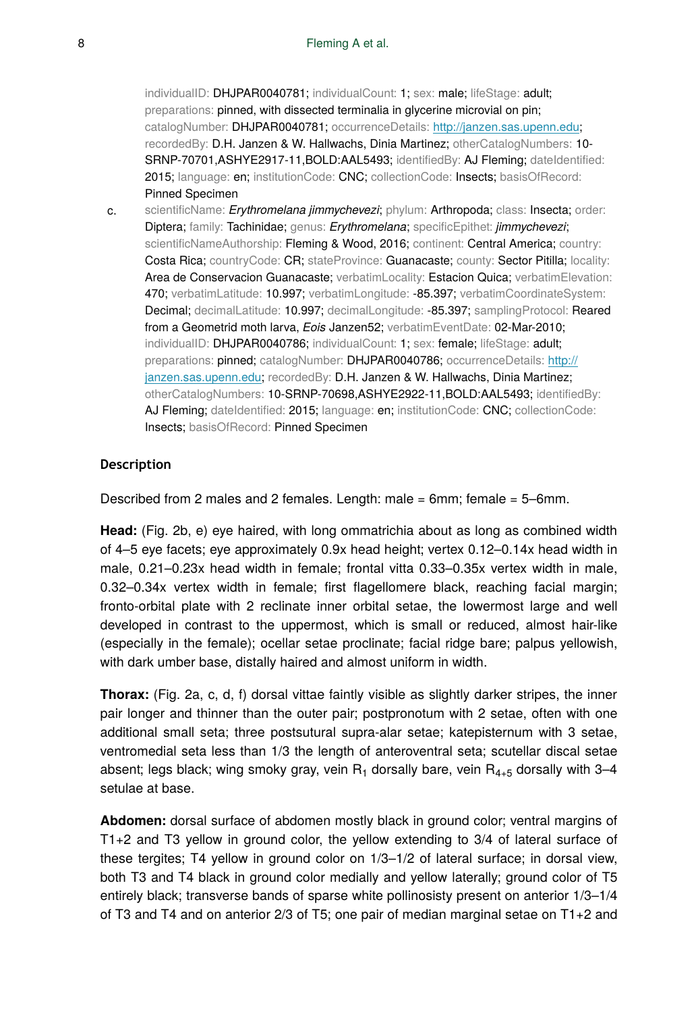individualID: DHJPAR0040781; individualCount: 1; sex: male; lifeStage: adult; preparations: pinned, with dissected terminalia in glycerine microvial on pin; catalogNumber: DHJPAR0040781; occurrenceDetails: [http://janzen.sas.upenn.edu;](http://janzen.sas.upenn.edu) recordedBy: D.H. Janzen & W. Hallwachs, Dinia Martinez; otherCatalogNumbers: 10- SRNP-70701, ASHYE2917-11, BOLD: AAL5493; identifiedBy: AJ Fleming; dateIdentified: 2015; language: en; institutionCode: CNC; collectionCode: Insects; basisOfRecord: Pinned Specimen

c. scientificName: *Erythromelana jimmychevezi*; phylum: Arthropoda; class: Insecta; order: Diptera; family: Tachinidae; genus: *Erythromelana*; specificEpithet: *jimmychevezi*; scientificNameAuthorship: Fleming & Wood, 2016; continent: Central America; country: Costa Rica; countryCode: CR; stateProvince: Guanacaste; county: Sector Pitilla; locality: Area de Conservacion Guanacaste; verbatimLocality: Estacion Quica; verbatimElevation: 470; verbatimLatitude: 10.997; verbatimLongitude: -85.397; verbatimCoordinateSystem: Decimal; decimalLatitude: 10.997; decimalLongitude: -85.397; samplingProtocol: Reared from a Geometrid moth larva, *Eois* Janzen52; verbatimEventDate: 02-Mar-2010; individualID: DHJPAR0040786; individualCount: 1; sex: female; lifeStage: adult; preparations: pinned; catalogNumber: DHJPAR0040786; occurrenceDetails: [http://](http://janzen.sas.upenn.edu) [janzen.sas.upenn.edu;](http://janzen.sas.upenn.edu) recordedBy: D.H. Janzen & W. Hallwachs, Dinia Martinez; otherCatalogNumbers: 10-SRNP-70698,ASHYE2922-11,BOLD:AAL5493; identifiedBy: AJ Fleming; dateIdentified: 2015; language: en; institutionCode: CNC; collectionCode: Insects; basisOfRecord: Pinned Specimen

#### **Description**

Described from 2 males and 2 females. Length: male = 6mm; female = 5–6mm.

**Head:** (Fig. 2b, e) eye haired, with long ommatrichia about as long as combined width of 4–5 eye facets; eye approximately 0.9x head height; vertex 0.12–0.14x head width in male, 0.21–0.23x head width in female; frontal vitta 0.33–0.35x vertex width in male, 0.32–0.34x vertex width in female; first flagellomere black, reaching facial margin; fronto-orbital plate with 2 reclinate inner orbital setae, the lowermost large and well developed in contrast to the uppermost, which is small or reduced, almost hair-like (especially in the female); ocellar setae proclinate; facial ridge bare; palpus yellowish, with dark umber base, distally haired and almost uniform in width.

**Thorax:** (Fig. 2a, c, d, f) dorsal vittae faintly visible as slightly darker stripes, the inner pair longer and thinner than the outer pair; postpronotum with 2 setae, often with one additional small seta; three postsutural supra-alar setae; katepisternum with 3 setae, ventromedial seta less than 1/3 the length of anteroventral seta; scutellar discal setae absent; legs black; wing smoky gray, vein  $R_1$  dorsally bare, vein  $R_{4+5}$  dorsally with 3–4 setulae at base.

**Abdomen:** dorsal surface of abdomen mostly black in ground color; ventral margins of T1+2 and T3 yellow in ground color, the yellow extending to 3/4 of lateral surface of these tergites; T4 yellow in ground color on 1/3–1/2 of lateral surface; in dorsal view, both T3 and T4 black in ground color medially and yellow laterally; ground color of T5 entirely black; transverse bands of sparse white pollinosisty present on anterior 1/3–1/4 of T3 and T4 and on anterior 2/3 of T5; one pair of median marginal setae on T1+2 and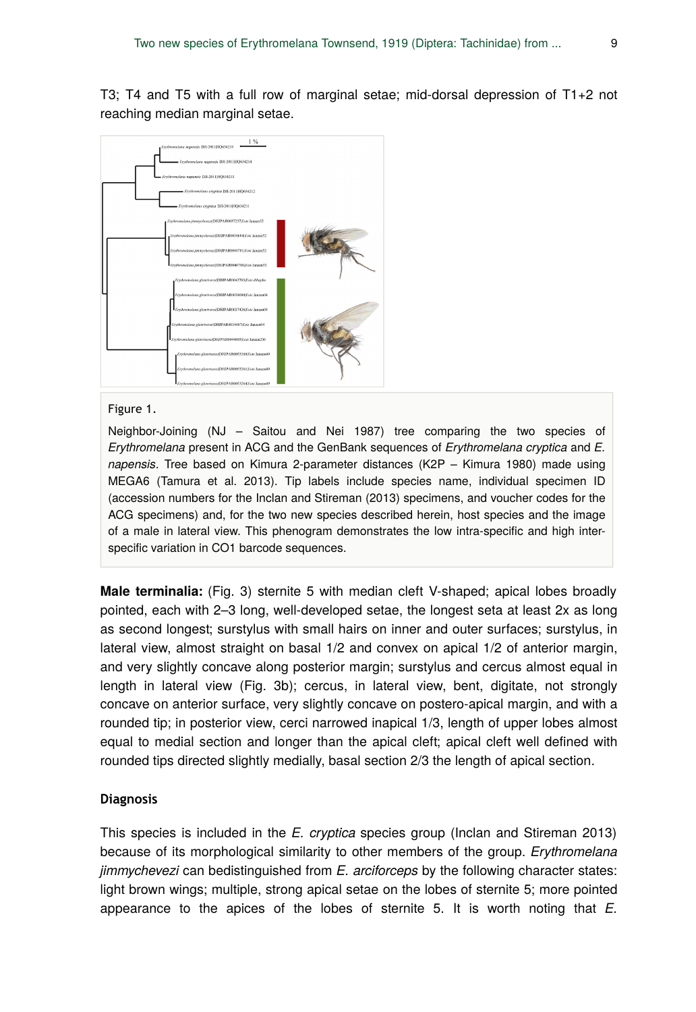T3; T4 and T5 with a full row of marginal setae; mid-dorsal depression of T1+2 not reaching median marginal setae.



#### Figure 1.

Neighbor-Joining (NJ – Saitou and Nei 1987) tree comparing the two species of *Erythromelana* present in ACG and the GenBank sequences of *Erythromelana cryptica* and *E. napensis*. Tree based on Kimura 2-parameter distances (K2P – Kimura 1980) made using MEGA6 (Tamura et al. 2013). Tip labels include species name, individual specimen ID (accession numbers for the Inclan and Stireman (2013) specimens, and voucher codes for the ACG specimens) and, for the two new species described herein, host species and the image of a male in lateral view. This phenogram demonstrates the low intra-specific and high interspecific variation in CO1 barcode sequences.

**Male terminalia:** (Fig. 3) sternite 5 with median cleft V-shaped; apical lobes broadly pointed, each with 2–3 long, well-developed setae, the longest seta at least 2x as long as second longest; surstylus with small hairs on inner and outer surfaces; surstylus, in lateral view, almost straight on basal 1/2 and convex on apical 1/2 of anterior margin, and very slightly concave along posterior margin; surstylus and cercus almost equal in length in lateral view (Fig. 3b); cercus, in lateral view, bent, digitate, not strongly concave on anterior surface, very slightly concave on postero-apical margin, and with a rounded tip; in posterior view, cerci narrowed inapical 1/3, length of upper lobes almost equal to medial section and longer than the apical cleft; apical cleft well defined with rounded tips directed slightly medially, basal section 2/3 the length of apical section.

#### **Diagnosis**

This species is included in the *E. cryptica* species group (Inclan and Stireman 2013) because of its morphological similarity to other members of the group. *Erythromelana jimmychevezi* can bedistinguished from *E. arciforceps* by the following character states: light brown wings; multiple, strong apical setae on the lobes of sternite 5; more pointed appearance to the apices of the lobes of sternite 5. It is worth noting that *E.*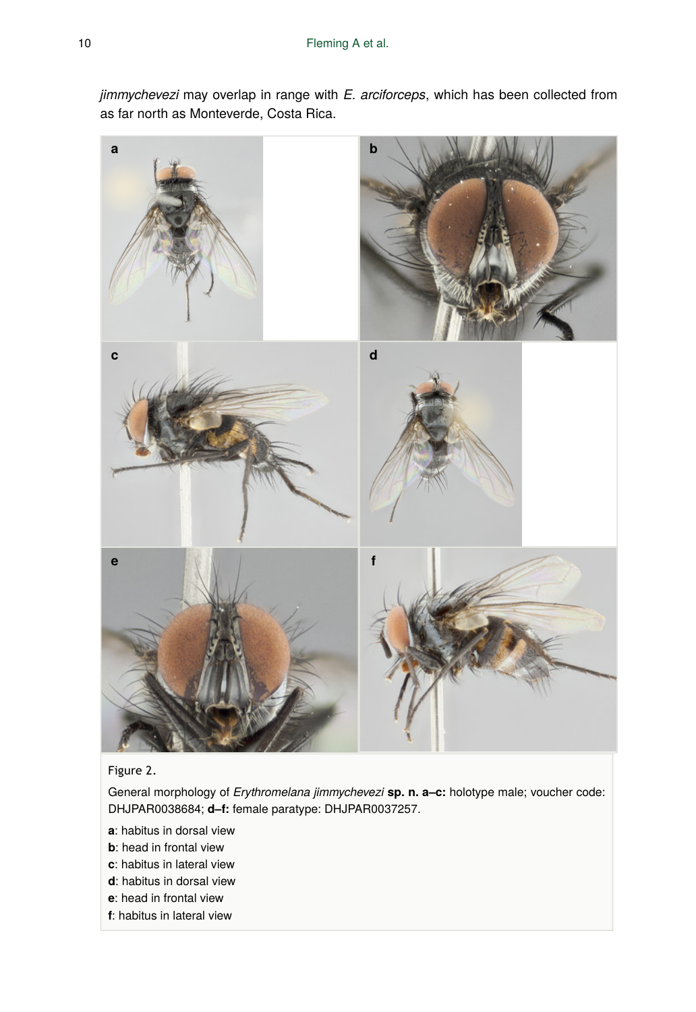*jimmychevezi* may overlap in range with *E. arciforceps*, which has been collected from as far north as Monteverde, Costa Rica.



# Figure 2.

General morphology of *Erythromelana jimmychevezi* **sp. n. a–c:** holotype male; voucher code: DHJPAR0038684; **d–f:** female paratype: DHJPAR0037257.

- **a**: habitus in dorsal view
- **b**: head in frontal view
- **c**: habitus in lateral view
- **d**: habitus in dorsal view
- **e**: head in frontal view
- **f**: habitus in lateral view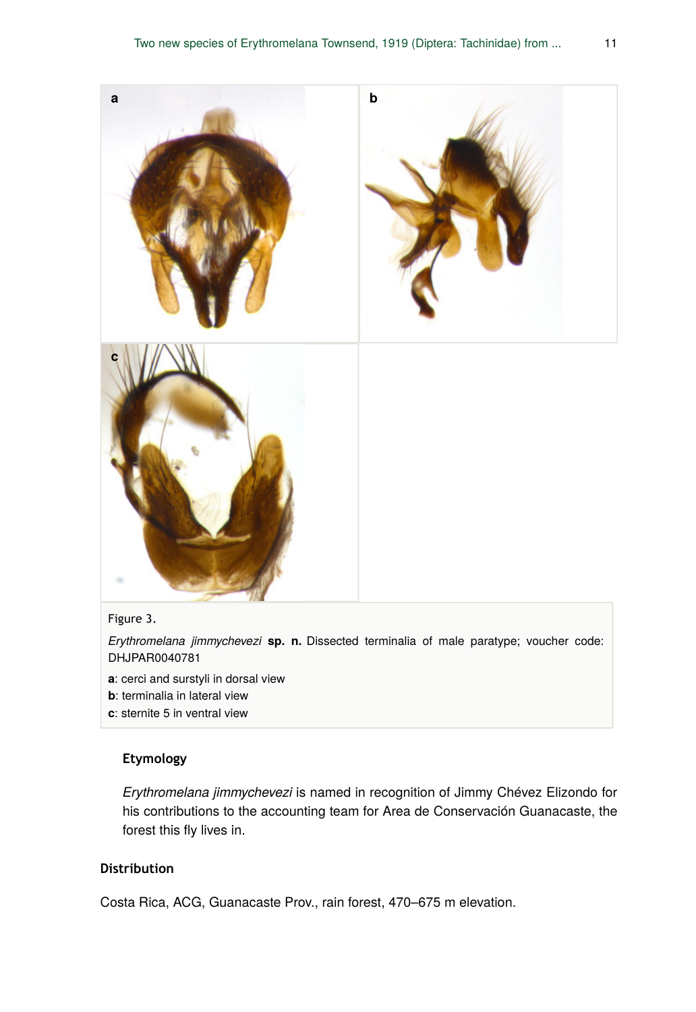

# Figure 3.

*Erythromelana jimmychevezi* **sp. n.** Dissected terminalia of male paratype; voucher code: DHJPAR0040781

- **a**: cerci and surstyli in dorsal view
- **b**: terminalia in lateral view
- **c**: sternite 5 in ventral view

# **Etymology**

*Erythromelana jimmychevezi* is named in recognition of Jimmy Chévez Elizondo for his contributions to the accounting team for Area de Conservación Guanacaste, the forest this fly lives in.

# **Distribution**

Costa Rica, ACG, Guanacaste Prov., rain forest, 470–675 m elevation.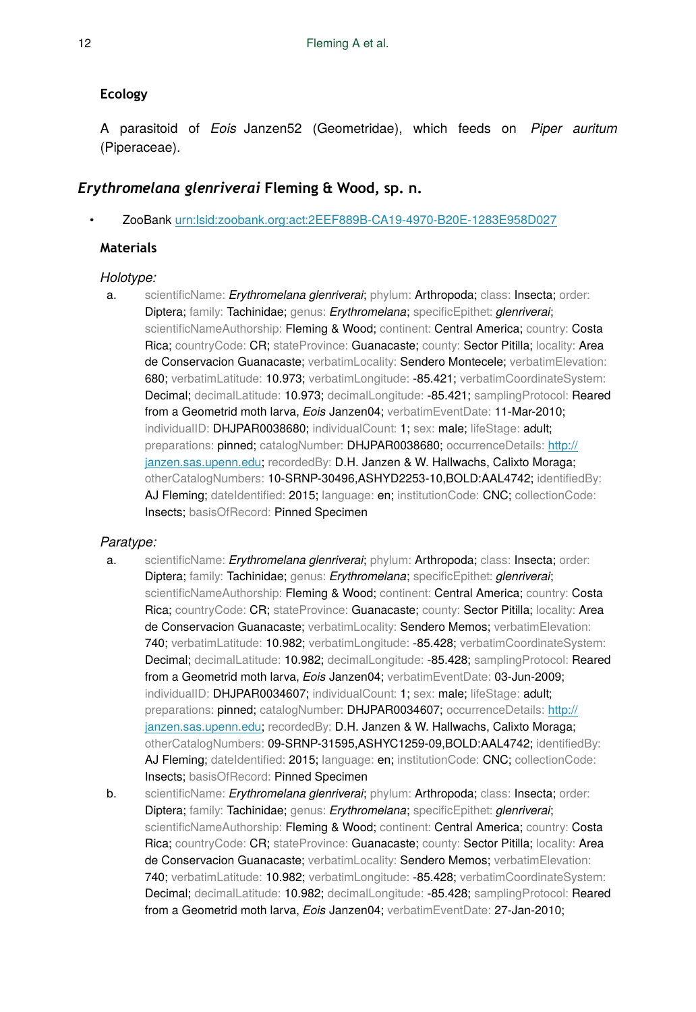# **Ecology**

A parasitoid of *Eois* Janzen52 (Geometridae), which feeds on *Piper auritum* (Piperaceae).

# *Erythromelana glenriverai* **Fleming & Wood, sp. n.**

• ZooBank [urn:lsid:zoobank.org:act:2EEF889B-CA19-4970-B20E-1283E958D027](http://zoobank.org/2EEF889B-CA19-4970-B20E-1283E958D027)

# **Materials**

# *Holotype:*

a. scientificName: *Erythromelana glenriverai*; phylum: Arthropoda; class: Insecta; order: Diptera; family: Tachinidae; genus: *Erythromelana*; specificEpithet: *glenriverai*; scientificNameAuthorship: Fleming & Wood; continent: Central America; country: Costa Rica; countryCode: CR; stateProvince: Guanacaste; county: Sector Pitilla; locality: Area de Conservacion Guanacaste; verbatimLocality: Sendero Montecele; verbatimElevation: 680; verbatimLatitude: 10.973; verbatimLongitude: -85.421; verbatimCoordinateSystem: Decimal; decimalLatitude: 10.973; decimalLongitude: -85.421; samplingProtocol: Reared from a Geometrid moth larva, *Eois* Janzen04; verbatimEventDate: 11-Mar-2010; individualID: DHJPAR0038680; individualCount: 1; sex: male; lifeStage: adult; preparations: pinned; catalogNumber: DHJPAR0038680; occurrenceDetails: [http://](http://janzen.sas.upenn.edu) [janzen.sas.upenn.edu;](http://janzen.sas.upenn.edu) recordedBy: D.H. Janzen & W. Hallwachs, Calixto Moraga; otherCatalogNumbers: 10-SRNP-30496,ASHYD2253-10,BOLD:AAL4742; identifiedBy: AJ Fleming; dateIdentified: 2015; language: en; institutionCode: CNC; collectionCode: Insects; basisOfRecord: Pinned Specimen

# *Paratype:*

- a. scientificName: *Erythromelana glenriverai*; phylum: Arthropoda; class: Insecta; order: Diptera; family: Tachinidae; genus: *Erythromelana*; specificEpithet: *glenriverai*; scientificNameAuthorship: Fleming & Wood; continent: Central America; country: Costa Rica; countryCode: CR; stateProvince: Guanacaste; county: Sector Pitilla; locality: Area de Conservacion Guanacaste; verbatimLocality: Sendero Memos; verbatimElevation: 740; verbatimLatitude: 10.982; verbatimLongitude: -85.428; verbatimCoordinateSystem: Decimal; decimalLatitude: 10.982; decimalLongitude: -85.428; samplingProtocol: Reared from a Geometrid moth larva, *Eois* Janzen04; verbatimEventDate: 03-Jun-2009; individualID: DHJPAR0034607; individualCount: 1; sex: male; lifeStage: adult; preparations: pinned; catalogNumber: DHJPAR0034607; occurrenceDetails: [http://](http://janzen.sas.upenn.edu) [janzen.sas.upenn.edu;](http://janzen.sas.upenn.edu) recordedBy: D.H. Janzen & W. Hallwachs, Calixto Moraga; otherCatalogNumbers: 09-SRNP-31595,ASHYC1259-09,BOLD:AAL4742; identifiedBy: AJ Fleming; dateIdentified: 2015; language: en; institutionCode: CNC; collectionCode: Insects; basisOfRecord: Pinned Specimen
- b. scientificName: *Erythromelana glenriverai*; phylum: Arthropoda; class: Insecta; order: Diptera; family: Tachinidae; genus: *Erythromelana*; specificEpithet: *glenriverai*; scientificNameAuthorship: Fleming & Wood; continent: Central America; country: Costa Rica; countryCode: CR; stateProvince: Guanacaste; county: Sector Pitilla; locality: Area de Conservacion Guanacaste; verbatimLocality: Sendero Memos; verbatimElevation: 740; verbatimLatitude: 10.982; verbatimLongitude: -85.428; verbatimCoordinateSystem: Decimal; decimalLatitude: 10.982; decimalLongitude: -85.428; samplingProtocol: Reared from a Geometrid moth larva, *Eois* Janzen04; verbatimEventDate: 27-Jan-2010;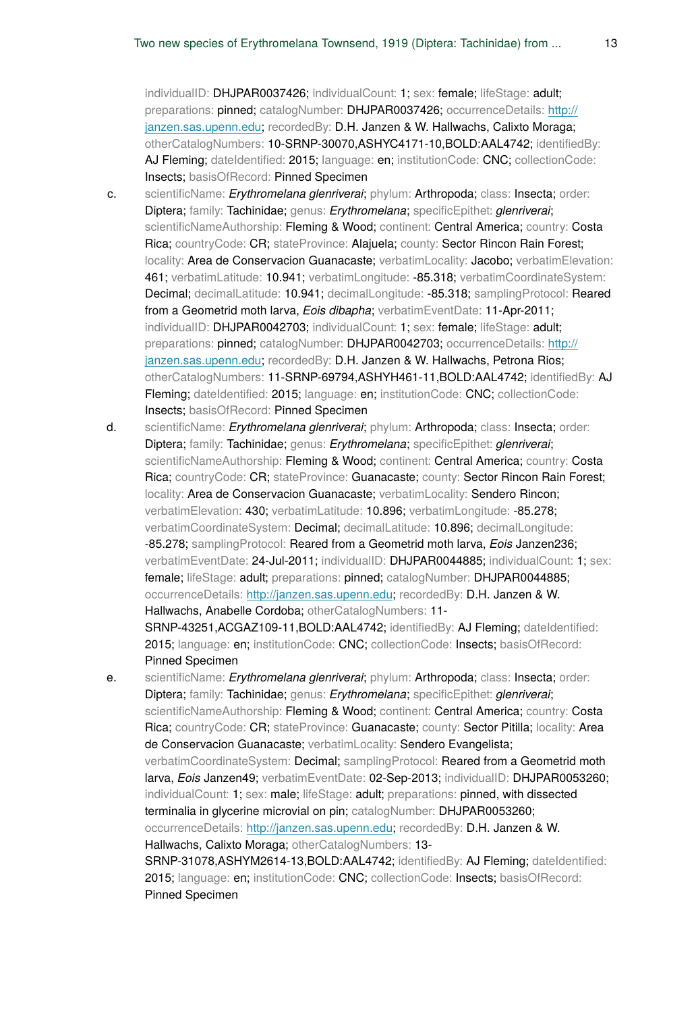individualID: DHJPAR0037426; individualCount: 1; sex: female; lifeStage: adult; preparations: pinned; catalogNumber: DHJPAR0037426; occurrenceDetails: [http://](http://janzen.sas.upenn.edu) [janzen.sas.upenn.edu;](http://janzen.sas.upenn.edu) recordedBy: D.H. Janzen & W. Hallwachs, Calixto Moraga; otherCatalogNumbers: 10-SRNP-30070,ASHYC4171-10,BOLD:AAL4742; identifiedBy: AJ Fleming; dateIdentified: 2015; language: en; institutionCode: CNC; collectionCode: Insects; basisOfRecord: Pinned Specimen

- c. scientificName: *Erythromelana glenriverai*; phylum: Arthropoda; class: Insecta; order: Diptera; family: Tachinidae; genus: *Erythromelana*; specificEpithet: *glenriverai*; scientificNameAuthorship: Fleming & Wood; continent: Central America; country: Costa Rica; countryCode: CR; stateProvince: Alajuela; county: Sector Rincon Rain Forest; locality: Area de Conservacion Guanacaste; verbatimLocality: Jacobo; verbatimElevation: 461; verbatimLatitude: 10.941; verbatimLongitude: -85.318; verbatimCoordinateSystem: Decimal; decimalLatitude: 10.941; decimalLongitude: -85.318; samplingProtocol: Reared from a Geometrid moth larva, *Eois dibapha*; verbatimEventDate: 11-Apr-2011; individualID: DHJPAR0042703; individualCount: 1; sex: female; lifeStage: adult; preparations: pinned; catalogNumber: DHJPAR0042703; occurrenceDetails: [http://](http://janzen.sas.upenn.edu) [janzen.sas.upenn.edu;](http://janzen.sas.upenn.edu) recordedBy: D.H. Janzen & W. Hallwachs, Petrona Rios; otherCatalogNumbers: 11-SRNP-69794,ASHYH461-11,BOLD:AAL4742; identifiedBy: AJ Fleming; dateIdentified: 2015; language: en; institutionCode: CNC; collectionCode: Insects; basisOfRecord: Pinned Specimen
- d. scientificName: *Erythromelana glenriverai*; phylum: Arthropoda; class: Insecta; order: Diptera; family: Tachinidae; genus: *Erythromelana*; specificEpithet: *glenriverai*; scientificNameAuthorship: Fleming & Wood; continent: Central America; country: Costa Rica; countryCode: CR; stateProvince: Guanacaste; county: Sector Rincon Rain Forest; locality: Area de Conservacion Guanacaste; verbatimLocality: Sendero Rincon; verbatimElevation: 430; verbatimLatitude: 10.896; verbatimLongitude: -85.278; verbatimCoordinateSystem: Decimal; decimalLatitude: 10.896; decimalLongitude: -85.278; samplingProtocol: Reared from a Geometrid moth larva, *Eois* Janzen236; verbatimEventDate: 24-Jul-2011; individualID: DHJPAR0044885; individualCount: 1; sex: female; lifeStage: adult; preparations: pinned; catalogNumber: DHJPAR0044885; occurrenceDetails: <http://janzen.sas.upenn.edu>; recordedBy: D.H. Janzen & W. Hallwachs, Anabelle Cordoba; otherCatalogNumbers: 11-SRNP-43251,ACGAZ109-11,BOLD:AAL4742; identifiedBy: AJ Fleming; dateIdentified: 2015; language: en; institutionCode: CNC; collectionCode: Insects; basisOfRecord: Pinned Specimen
- e. scientificName: *Erythromelana glenriverai*; phylum: Arthropoda; class: Insecta; order: Diptera; family: Tachinidae; genus: *Erythromelana*; specificEpithet: *glenriverai*; scientificNameAuthorship: Fleming & Wood; continent: Central America; country: Costa Rica; countryCode: CR; stateProvince: Guanacaste; county: Sector Pitilla; locality: Area de Conservacion Guanacaste; verbatimLocality: Sendero Evangelista; verbatimCoordinateSystem: Decimal; samplingProtocol: Reared from a Geometrid moth larva, *Eois* Janzen49; verbatimEventDate: 02-Sep-2013; individualID: DHJPAR0053260; individualCount: 1; sex: male; lifeStage: adult; preparations: pinned, with dissected terminalia in glycerine microvial on pin; catalogNumber: DHJPAR0053260; occurrenceDetails: <http://janzen.sas.upenn.edu>; recordedBy: D.H. Janzen & W. Hallwachs, Calixto Moraga; otherCatalogNumbers: 13- SRNP-31078,ASHYM2614-13,BOLD:AAL4742; identifiedBy: AJ Fleming; dateIdentified: 2015; language: en; institutionCode: CNC; collectionCode: Insects; basisOfRecord: Pinned Specimen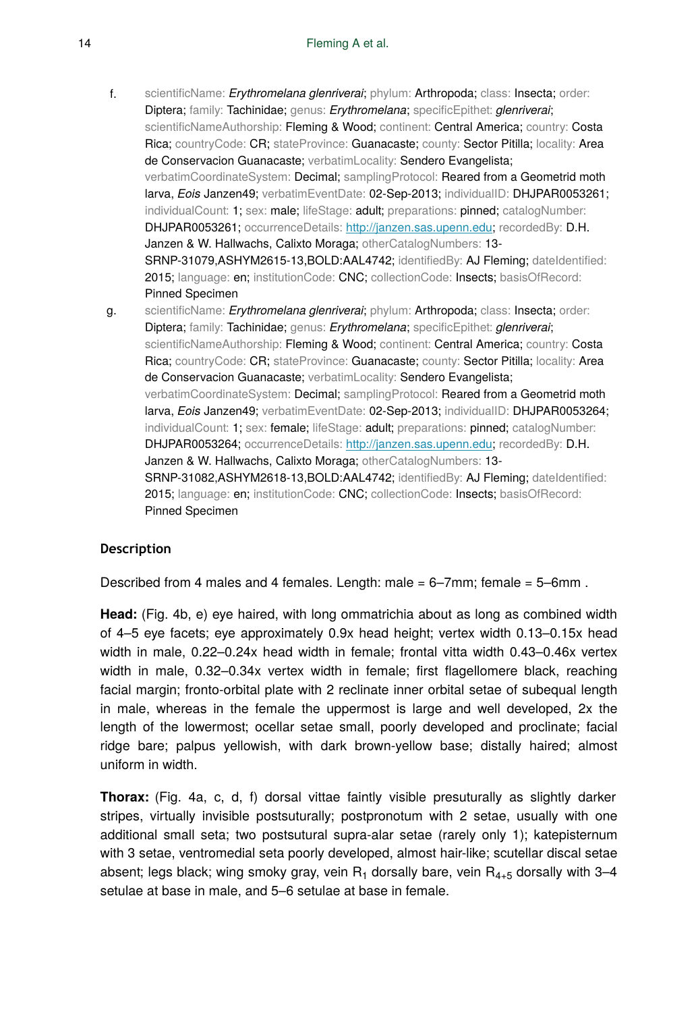- f. scientificName: *Erythromelana glenriverai*; phylum: Arthropoda; class: Insecta; order: Diptera; family: Tachinidae; genus: *Erythromelana*; specificEpithet: *glenriverai*; scientificNameAuthorship: Fleming & Wood; continent: Central America; country: Costa Rica; countryCode: CR; stateProvince: Guanacaste; county: Sector Pitilla; locality: Area de Conservacion Guanacaste; verbatimLocality: Sendero Evangelista; verbatimCoordinateSystem: Decimal; samplingProtocol: Reared from a Geometrid moth larva, *Eois* Janzen49; verbatimEventDate: 02-Sep-2013; individualID: DHJPAR0053261; individualCount: 1; sex: male; lifeStage: adult; preparations: pinned; catalogNumber: DHJPAR0053261; occurrenceDetails: <http://janzen.sas.upenn.edu>; recordedBy: D.H. Janzen & W. Hallwachs, Calixto Moraga; otherCatalogNumbers: 13-SRNP-31079,ASHYM2615-13,BOLD:AAL4742; identifiedBy: AJ Fleming; dateIdentified: 2015; language: en; institutionCode: CNC; collectionCode: Insects; basisOfRecord: Pinned Specimen
- g. scientificName: *Erythromelana glenriverai*; phylum: Arthropoda; class: Insecta; order: Diptera; family: Tachinidae; genus: *Erythromelana*; specificEpithet: *glenriverai*; scientificNameAuthorship: Fleming & Wood; continent: Central America; country: Costa Rica; countryCode: CR; stateProvince: Guanacaste; county: Sector Pitilla; locality: Area de Conservacion Guanacaste; verbatimLocality: Sendero Evangelista; verbatimCoordinateSystem: Decimal; samplingProtocol: Reared from a Geometrid moth larva, *Eois* Janzen49; verbatimEventDate: 02-Sep-2013; individualID: DHJPAR0053264; individualCount: 1; sex: female; lifeStage: adult; preparations: pinned; catalogNumber: DHJPAR0053264; occurrenceDetails: <http://janzen.sas.upenn.edu>; recordedBy: D.H. Janzen & W. Hallwachs, Calixto Moraga; otherCatalogNumbers: 13-SRNP-31082,ASHYM2618-13,BOLD:AAL4742; identifiedBy: AJ Fleming; dateIdentified: 2015; language: en; institutionCode: CNC; collectionCode: Insects; basisOfRecord: Pinned Specimen

# **Description**

Described from 4 males and 4 females. Length: male = 6–7mm; female = 5–6mm .

**Head:** (Fig. 4b, e) eye haired, with long ommatrichia about as long as combined width of 4–5 eye facets; eye approximately 0.9x head height; vertex width 0.13–0.15x head width in male, 0.22–0.24x head width in female; frontal vitta width 0.43–0.46x vertex width in male, 0.32–0.34x vertex width in female; first flagellomere black, reaching facial margin; fronto-orbital plate with 2 reclinate inner orbital setae of subequal length in male, whereas in the female the uppermost is large and well developed, 2x the length of the lowermost; ocellar setae small, poorly developed and proclinate; facial ridge bare; palpus yellowish, with dark brown-yellow base; distally haired; almost uniform in width.

**Thorax:** (Fig. 4a, c, d, f) dorsal vittae faintly visible presuturally as slightly darker stripes, virtually invisible postsuturally; postpronotum with 2 setae, usually with one additional small seta; two postsutural supra-alar setae (rarely only 1); katepisternum with 3 setae, ventromedial seta poorly developed, almost hair-like; scutellar discal setae absent; legs black; wing smoky gray, vein  $R_1$  dorsally bare, vein  $R_{4+5}$  dorsally with 3–4 setulae at base in male, and 5–6 setulae at base in female.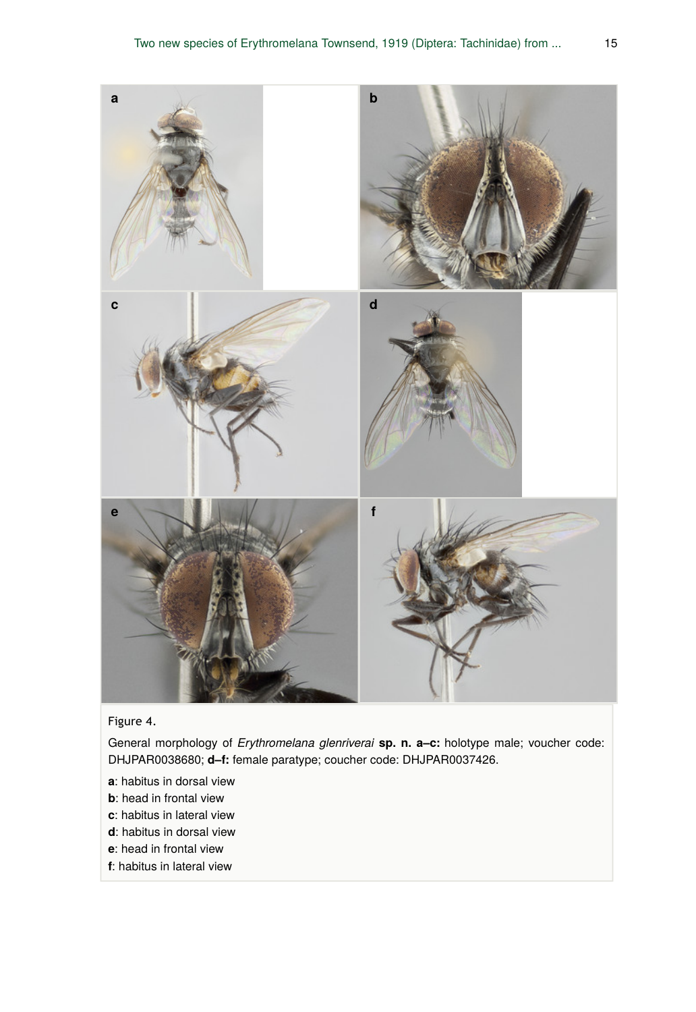

Figure 4.

General morphology of *Erythromelana glenriverai* **sp. n. a–c:** holotype male; voucher code: DHJPAR0038680; **d–f:** female paratype; coucher code: DHJPAR0037426.

- **a**: habitus in dorsal view
- **b**: head in frontal view
- **c**: habitus in lateral view
- **d**: habitus in dorsal view
- **e**: head in frontal view
- **f**: habitus in lateral view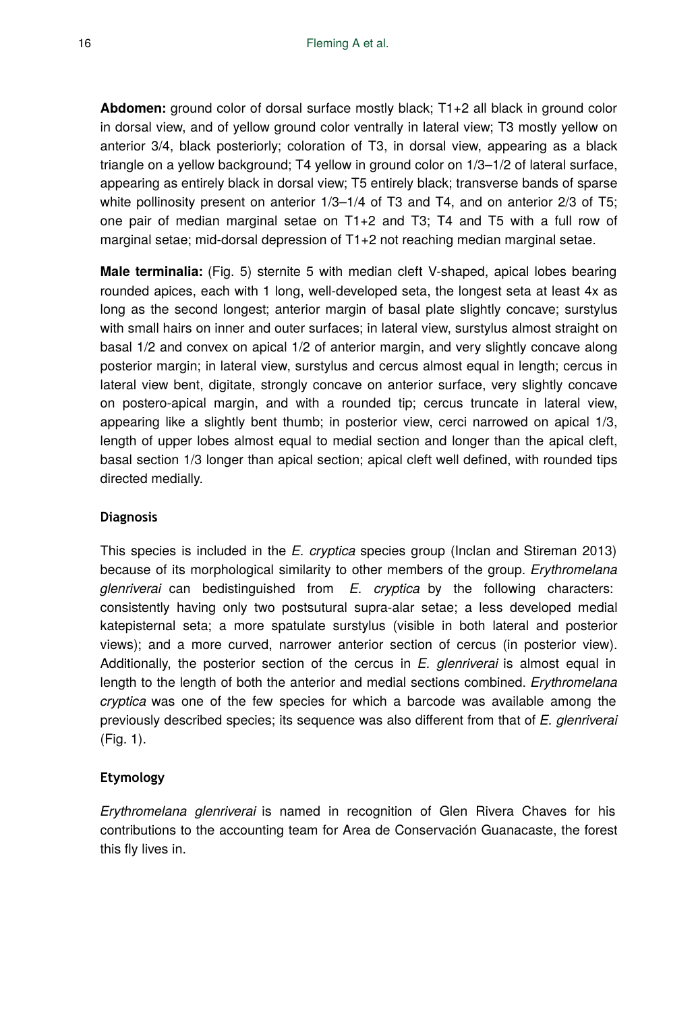**Abdomen:** ground color of dorsal surface mostly black; T1+2 all black in ground color in dorsal view, and of yellow ground color ventrally in lateral view; T3 mostly yellow on anterior 3/4, black posteriorly; coloration of T3, in dorsal view, appearing as a black triangle on a yellow background; T4 yellow in ground color on 1/3–1/2 of lateral surface, appearing as entirely black in dorsal view; T5 entirely black; transverse bands of sparse white pollinosity present on anterior  $1/3$ –1/4 of T3 and T4, and on anterior 2/3 of T5; one pair of median marginal setae on T1+2 and T3; T4 and T5 with a full row of marginal setae; mid-dorsal depression of T1+2 not reaching median marginal setae.

**Male terminalia:** (Fig. 5) sternite 5 with median cleft V-shaped, apical lobes bearing rounded apices, each with 1 long, well-developed seta, the longest seta at least 4x as long as the second longest; anterior margin of basal plate slightly concave; surstylus with small hairs on inner and outer surfaces; in lateral view, surstylus almost straight on basal 1/2 and convex on apical 1/2 of anterior margin, and very slightly concave along posterior margin; in lateral view, surstylus and cercus almost equal in length; cercus in lateral view bent, digitate, strongly concave on anterior surface, very slightly concave on postero-apical margin, and with a rounded tip; cercus truncate in lateral view, appearing like a slightly bent thumb; in posterior view, cerci narrowed on apical 1/3, length of upper lobes almost equal to medial section and longer than the apical cleft, basal section 1/3 longer than apical section; apical cleft well defined, with rounded tips directed medially.

# **Diagnosis**

This species is included in the *E. cryptica* species group (Inclan and Stireman 2013) because of its morphological similarity to other members of the group. *Erythromelana glenriverai* can bedistinguished from *E. cryptica* by the following characters: consistently having only two postsutural supra-alar setae; a less developed medial katepisternal seta; a more spatulate surstylus (visible in both lateral and posterior views); and a more curved, narrower anterior section of cercus (in posterior view). Additionally, the posterior section of the cercus in *E. glenriverai* is almost equal in length to the length of both the anterior and medial sections combined. *Erythromelana cryptica* was one of the few species for which a barcode was available among the previously described species; its sequence was also different from that of *E. glenriverai* (Fig. 1).

# **Etymology**

*Erythromelana glenriverai* is named in recognition of Glen Rivera Chaves for his contributions to the accounting team for Area de Conservación Guanacaste, the forest this fly lives in.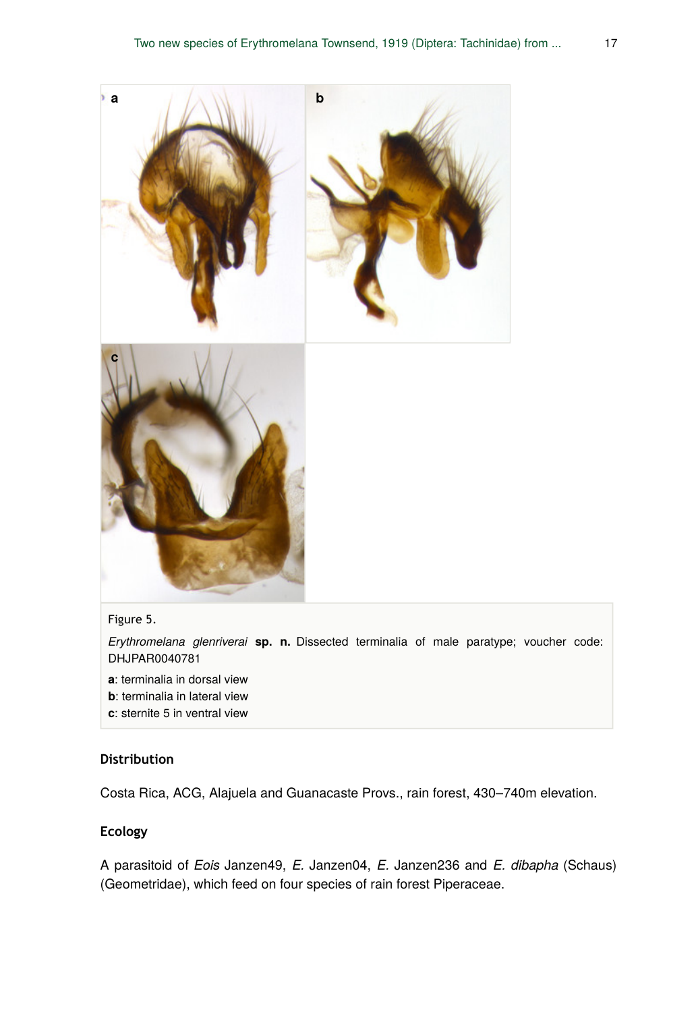



### Figure 5.

*Erythromelana glenriverai* **sp. n.** Dissected terminalia of male paratype; voucher code: DHJPAR0040781

- **a**: terminalia in dorsal view
- **b**: terminalia in lateral view
- **c**: sternite 5 in ventral view

# **Distribution**

Costa Rica, ACG, Alajuela and Guanacaste Provs., rain forest, 430–740m elevation.

#### **Ecology**

A parasitoid of *Eois* Janzen49, *E.* Janzen04, *E.* Janzen236 and *E. dibapha* (Schaus) (Geometridae), which feed on four species of rain forest Piperaceae.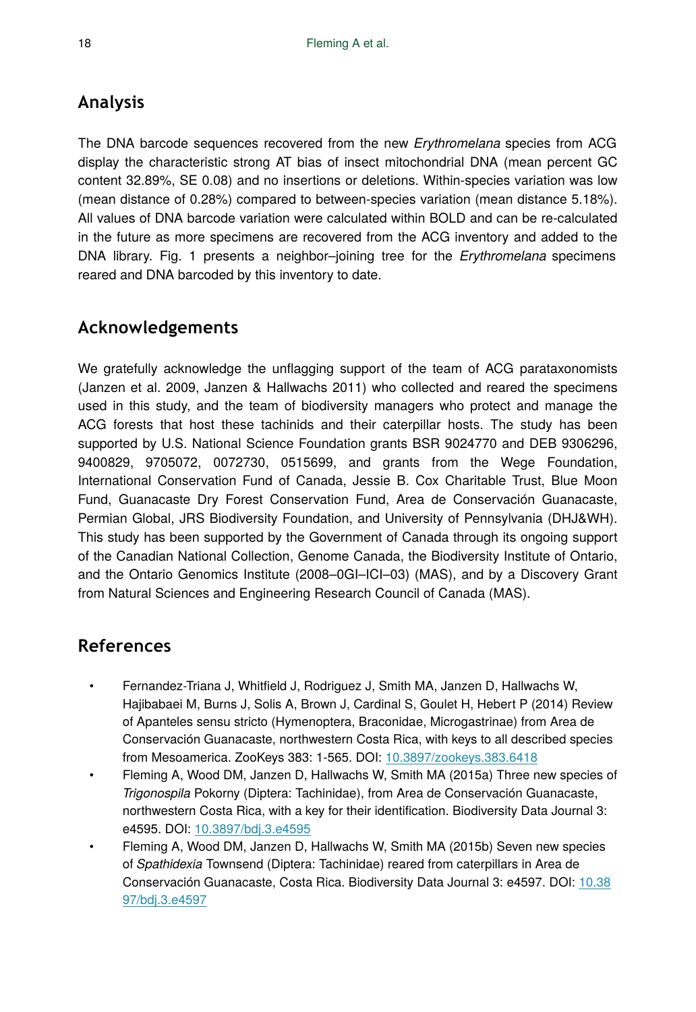# **Analysis**

The DNA barcode sequences recovered from the new *Erythromelana* species from ACG display the characteristic strong AT bias of insect mitochondrial DNA (mean percent GC content 32.89%, SE 0.08) and no insertions or deletions. Within-species variation was low (mean distance of 0.28%) compared to between-species variation (mean distance 5.18%). All values of DNA barcode variation were calculated within BOLD and can be re-calculated in the future as more specimens are recovered from the ACG inventory and added to the DNA library. Fig. 1 presents a neighbor–joining tree for the *Erythromelana* specimens reared and DNA barcoded by this inventory to date.

# **Acknowledgements**

We gratefully acknowledge the unflagging support of the team of ACG parataxonomists (Janzen et al. 2009, Janzen & Hallwachs 2011) who collected and reared the specimens used in this study, and the team of biodiversity managers who protect and manage the ACG forests that host these tachinids and their caterpillar hosts. The study has been supported by U.S. National Science Foundation grants BSR 9024770 and DEB 9306296, 9400829, 9705072, 0072730, 0515699, and grants from the Wege Foundation, International Conservation Fund of Canada, Jessie B. Cox Charitable Trust, Blue Moon Fund, Guanacaste Dry Forest Conservation Fund, Area de Conservación Guanacaste, Permian Global, JRS Biodiversity Foundation, and University of Pennsylvania (DHJ&WH). This study has been supported by the Government of Canada through its ongoing support of the Canadian National Collection, Genome Canada, the Biodiversity Institute of Ontario, and the Ontario Genomics Institute (2008–0GI–ICI–03) (MAS), and by a Discovery Grant from Natural Sciences and Engineering Research Council of Canada (MAS).

# **References**

- Fernandez-Triana J, Whitfield J, Rodriguez J, Smith MA, Janzen D, Hallwachs W, Hajibabaei M, Burns J, Solis A, Brown J, Cardinal S, Goulet H, Hebert P (2014) Review of Apanteles sensu stricto (Hymenoptera, Braconidae, Microgastrinae) from Area de Conservación Guanacaste, northwestern Costa Rica, with keys to all described species from Mesoamerica. ZooKeys 383: 1‑565. DOI: [10.3897/zookeys.383.6418](http://dx.doi.org/10.3897/zookeys.383.6418)
- Fleming A, Wood DM, Janzen D, Hallwachs W, Smith MA (2015a) Three new species of *Trigonospila* Pokorny (Diptera: Tachinidae), from Area de Conservación Guanacaste, northwestern Costa Rica, with a key for their identification. Biodiversity Data Journal 3: e4595. DOI: [10.3897/bdj.3.e4595](http://dx.doi.org/10.3897/bdj.3.e4595)
- Fleming A, Wood DM, Janzen D, Hallwachs W, Smith MA (2015b) Seven new species of *Spathidexia* Townsend (Diptera: Tachinidae) reared from caterpillars in Area de Conservación Guanacaste, Costa Rica. Biodiversity Data Journal 3: e4597. DOI: [10.38](http://dx.doi.org/10.3897/bdj.3.e4597) [97/bdj.3.e4597](http://dx.doi.org/10.3897/bdj.3.e4597)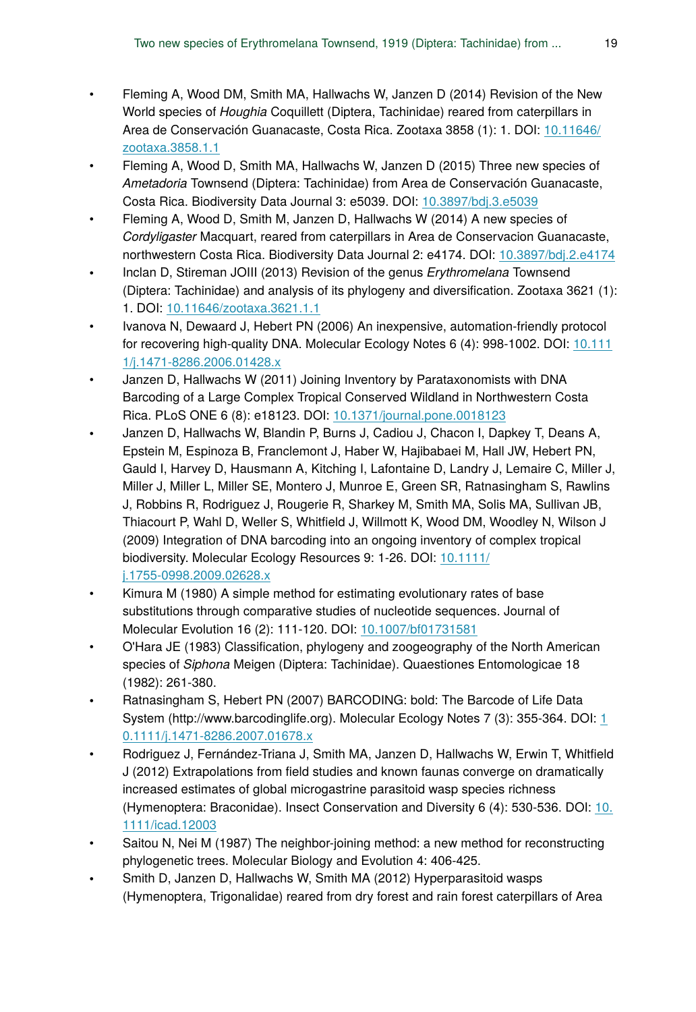- Fleming A, Wood DM, Smith MA, Hallwachs W, Janzen D (2014) Revision of the New World species of *Houghia* Coquillett (Diptera, Tachinidae) reared from caterpillars in Area de Conservación Guanacaste, Costa Rica. Zootaxa 3858 (1): 1. DOI: [10.11646/](http://dx.doi.org/10.11646/zootaxa.3858.1.1) [zootaxa.3858.1.1](http://dx.doi.org/10.11646/zootaxa.3858.1.1)
- Fleming A, Wood D, Smith MA, Hallwachs W, Janzen D (2015) Three new species of *Ametadoria* Townsend (Diptera: Tachinidae) from Area de Conservación Guanacaste, Costa Rica. Biodiversity Data Journal 3: e5039. DOI: [10.3897/bdj.3.e5039](http://dx.doi.org/10.3897/bdj.3.e5039)
- Fleming A, Wood D, Smith M, Janzen D, Hallwachs W (2014) A new species of *Cordyligaster* Macquart, reared from caterpillars in Area de Conservacion Guanacaste, northwestern Costa Rica. Biodiversity Data Journal 2: e4174. DOI: [10.3897/bdj.2.e4174](http://dx.doi.org/10.3897/bdj.2.e4174)
- Inclan D, Stireman JOIII (2013) Revision of the genus *Erythromelana* Townsend (Diptera: Tachinidae) and analysis of its phylogeny and diversification. Zootaxa 3621 (1): 1. DOI: [10.11646/zootaxa.3621.1.1](http://dx.doi.org/10.11646/zootaxa.3621.1.1)
- Ivanova N, Dewaard J, Hebert PN (2006) An inexpensive, automation-friendly protocol for recovering high-quality DNA. Molecular Ecology Notes 6 (4): 998‑1002. DOI: [10.111](http://dx.doi.org/10.1111/j.1471-8286.2006.01428.x) [1/j.1471-8286.2006.01428.x](http://dx.doi.org/10.1111/j.1471-8286.2006.01428.x)
- Janzen D, Hallwachs W (2011) Joining Inventory by Parataxonomists with DNA Barcoding of a Large Complex Tropical Conserved Wildland in Northwestern Costa Rica. PLoS ONE 6 (8): e18123. DOI: [10.1371/journal.pone.0018123](http://dx.doi.org/10.1371/journal.pone.0018123)
- Janzen D, Hallwachs W, Blandin P, Burns J, Cadiou J, Chacon I, Dapkey T, Deans A, Epstein M, Espinoza B, Franclemont J, Haber W, Hajibabaei M, Hall JW, Hebert PN, Gauld I, Harvey D, Hausmann A, Kitching I, Lafontaine D, Landry J, Lemaire C, Miller J, Miller J, Miller L, Miller SE, Montero J, Munroe E, Green SR, Ratnasingham S, Rawlins J, Robbins R, Rodriguez J, Rougerie R, Sharkey M, Smith MA, Solis MA, Sullivan JB, Thiacourt P, Wahl D, Weller S, Whitfield J, Willmott K, Wood DM, Woodley N, Wilson J (2009) Integration of DNA barcoding into an ongoing inventory of complex tropical biodiversity. Molecular Ecology Resources 9: 1‑26. DOI: [10.1111/](http://dx.doi.org/10.1111/j.1755-0998.2009.02628.x) [j.1755-0998.2009.02628.x](http://dx.doi.org/10.1111/j.1755-0998.2009.02628.x)
- Kimura M (1980) A simple method for estimating evolutionary rates of base substitutions through comparative studies of nucleotide sequences. Journal of Molecular Evolution 16 (2): 111‑120. DOI: [10.1007/bf01731581](http://dx.doi.org/10.1007/bf01731581)
- O'Hara JE (1983) Classification, phylogeny and zoogeography of the North American species of *Siphona* Meigen (Diptera: Tachinidae). Quaestiones Entomologicae 18 (1982): 261‑380.
- Ratnasingham S, Hebert PN (2007) BARCODING: bold: The Barcode of Life Data System (http://www.barcodinglife.org). Molecular Ecology Notes 7 (3): 355‑364. DOI: [1](http://dx.doi.org/10.1111/j.1471-8286.2007.01678.x) [0.1111/j.1471-8286.2007.01678.x](http://dx.doi.org/10.1111/j.1471-8286.2007.01678.x)
- Rodriguez J, Fernández-Triana J, Smith MA, Janzen D, Hallwachs W, Erwin T, Whitfield J (2012) Extrapolations from field studies and known faunas converge on dramatically increased estimates of global microgastrine parasitoid wasp species richness (Hymenoptera: Braconidae). Insect Conservation and Diversity 6 (4): 530‑536. DOI: [10.](http://dx.doi.org/10.1111/icad.12003) [1111/icad.12003](http://dx.doi.org/10.1111/icad.12003)
- Saitou N, Nei M (1987) The neighbor-joining method: a new method for reconstructing phylogenetic trees. Molecular Biology and Evolution 4: 406‑425.
- Smith D, Janzen D, Hallwachs W, Smith MA (2012) Hyperparasitoid wasps (Hymenoptera, Trigonalidae) reared from dry forest and rain forest caterpillars of Area